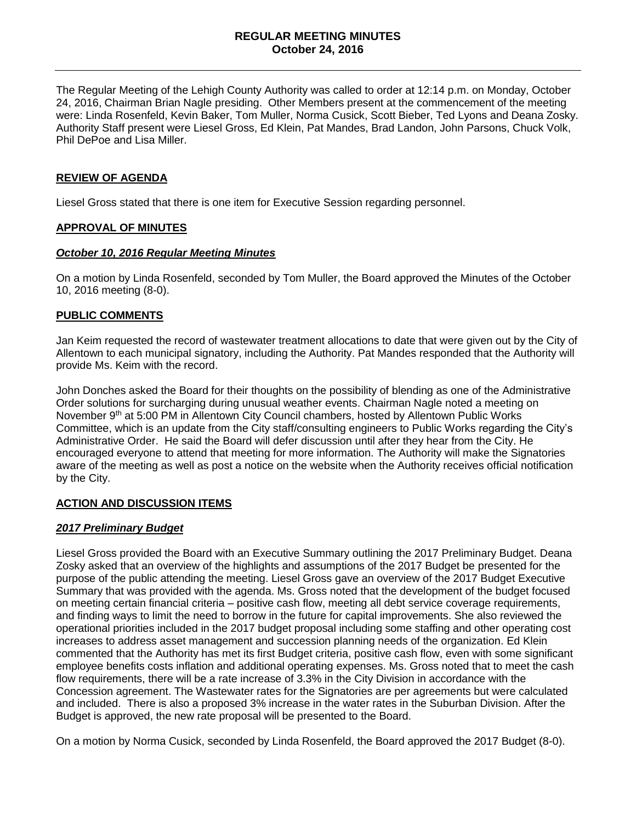The Regular Meeting of the Lehigh County Authority was called to order at 12:14 p.m. on Monday, October 24, 2016, Chairman Brian Nagle presiding. Other Members present at the commencement of the meeting were: Linda Rosenfeld, Kevin Baker, Tom Muller, Norma Cusick, Scott Bieber, Ted Lyons and Deana Zosky. Authority Staff present were Liesel Gross, Ed Klein, Pat Mandes, Brad Landon, John Parsons, Chuck Volk, Phil DePoe and Lisa Miller.

#### **REVIEW OF AGENDA**

Liesel Gross stated that there is one item for Executive Session regarding personnel.

## **APPROVAL OF MINUTES**

#### *October 10, 2016 Regular Meeting Minutes*

On a motion by Linda Rosenfeld, seconded by Tom Muller, the Board approved the Minutes of the October 10, 2016 meeting (8-0).

## **PUBLIC COMMENTS**

Jan Keim requested the record of wastewater treatment allocations to date that were given out by the City of Allentown to each municipal signatory, including the Authority. Pat Mandes responded that the Authority will provide Ms. Keim with the record.

John Donches asked the Board for their thoughts on the possibility of blending as one of the Administrative Order solutions for surcharging during unusual weather events. Chairman Nagle noted a meeting on November 9<sup>th</sup> at 5:00 PM in Allentown City Council chambers, hosted by Allentown Public Works Committee, which is an update from the City staff/consulting engineers to Public Works regarding the City's Administrative Order. He said the Board will defer discussion until after they hear from the City. He encouraged everyone to attend that meeting for more information. The Authority will make the Signatories aware of the meeting as well as post a notice on the website when the Authority receives official notification by the City.

# **ACTION AND DISCUSSION ITEMS**

#### *2017 Preliminary Budget*

Liesel Gross provided the Board with an Executive Summary outlining the 2017 Preliminary Budget. Deana Zosky asked that an overview of the highlights and assumptions of the 2017 Budget be presented for the purpose of the public attending the meeting. Liesel Gross gave an overview of the 2017 Budget Executive Summary that was provided with the agenda. Ms. Gross noted that the development of the budget focused on meeting certain financial criteria – positive cash flow, meeting all debt service coverage requirements, and finding ways to limit the need to borrow in the future for capital improvements. She also reviewed the operational priorities included in the 2017 budget proposal including some staffing and other operating cost increases to address asset management and succession planning needs of the organization. Ed Klein commented that the Authority has met its first Budget criteria, positive cash flow, even with some significant employee benefits costs inflation and additional operating expenses. Ms. Gross noted that to meet the cash flow requirements, there will be a rate increase of 3.3% in the City Division in accordance with the Concession agreement. The Wastewater rates for the Signatories are per agreements but were calculated and included. There is also a proposed 3% increase in the water rates in the Suburban Division. After the Budget is approved, the new rate proposal will be presented to the Board.

On a motion by Norma Cusick, seconded by Linda Rosenfeld, the Board approved the 2017 Budget (8-0).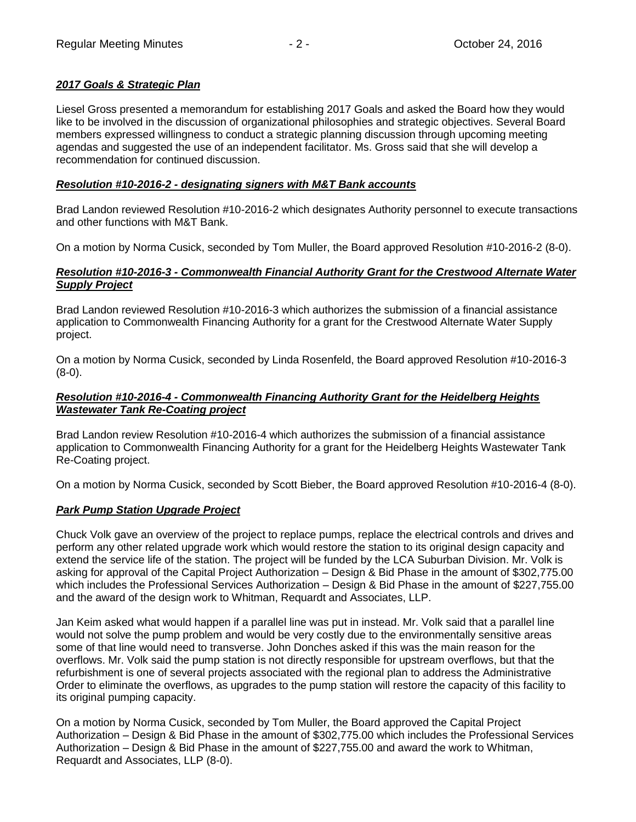# *2017 Goals & Strategic Plan*

Liesel Gross presented a memorandum for establishing 2017 Goals and asked the Board how they would like to be involved in the discussion of organizational philosophies and strategic objectives. Several Board members expressed willingness to conduct a strategic planning discussion through upcoming meeting agendas and suggested the use of an independent facilitator. Ms. Gross said that she will develop a recommendation for continued discussion.

# *Resolution #10-2016-2 - designating signers with M&T Bank accounts*

Brad Landon reviewed Resolution #10-2016-2 which designates Authority personnel to execute transactions and other functions with M&T Bank.

On a motion by Norma Cusick, seconded by Tom Muller, the Board approved Resolution #10-2016-2 (8-0).

## *Resolution #10-2016-3 - Commonwealth Financial Authority Grant for the Crestwood Alternate Water Supply Project*

Brad Landon reviewed Resolution #10-2016-3 which authorizes the submission of a financial assistance application to Commonwealth Financing Authority for a grant for the Crestwood Alternate Water Supply project.

On a motion by Norma Cusick, seconded by Linda Rosenfeld, the Board approved Resolution #10-2016-3 (8-0).

# *Resolution #10-2016-4 - Commonwealth Financing Authority Grant for the Heidelberg Heights Wastewater Tank Re-Coating project*

Brad Landon review Resolution #10-2016-4 which authorizes the submission of a financial assistance application to Commonwealth Financing Authority for a grant for the Heidelberg Heights Wastewater Tank Re-Coating project.

On a motion by Norma Cusick, seconded by Scott Bieber, the Board approved Resolution #10-2016-4 (8-0).

# *Park Pump Station Upgrade Project*

Chuck Volk gave an overview of the project to replace pumps, replace the electrical controls and drives and perform any other related upgrade work which would restore the station to its original design capacity and extend the service life of the station. The project will be funded by the LCA Suburban Division. Mr. Volk is asking for approval of the Capital Project Authorization – Design & Bid Phase in the amount of \$302,775.00 which includes the Professional Services Authorization – Design & Bid Phase in the amount of \$227,755.00 and the award of the design work to Whitman, Requardt and Associates, LLP.

Jan Keim asked what would happen if a parallel line was put in instead. Mr. Volk said that a parallel line would not solve the pump problem and would be very costly due to the environmentally sensitive areas some of that line would need to transverse. John Donches asked if this was the main reason for the overflows. Mr. Volk said the pump station is not directly responsible for upstream overflows, but that the refurbishment is one of several projects associated with the regional plan to address the Administrative Order to eliminate the overflows, as upgrades to the pump station will restore the capacity of this facility to its original pumping capacity.

On a motion by Norma Cusick, seconded by Tom Muller, the Board approved the Capital Project Authorization – Design & Bid Phase in the amount of \$302,775.00 which includes the Professional Services Authorization – Design & Bid Phase in the amount of \$227,755.00 and award the work to Whitman, Requardt and Associates, LLP (8-0).